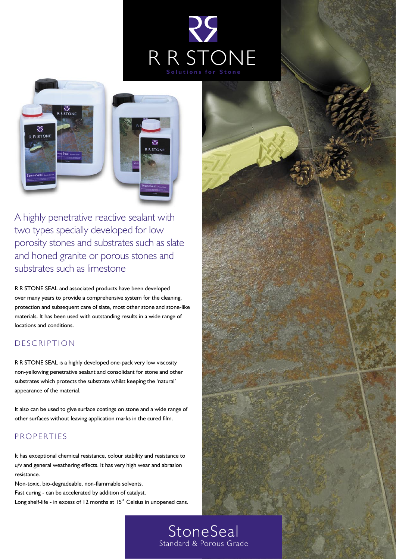





A highly penetrative reactive sealant with two types specially developed for low porosity stones and substrates such as slate and honed granite or porous stones and substrates such as limestone

R R STONE SEAL and associated products have been developed over many years to provide a comprehensive system for the cleaning, protection and subsequent care of slate, most other stone and stone-like materials. It has been used with outstanding results in a wide range of locations and conditions.

## D E S C RIPTION

R R STONE SEAL is a highly developed one-pack very low viscosity non-yellowing penetrative sealant and consolidant for stone and other substrates which protects the substrate whilst keeping the 'natural' appearance of the material.

It also can be used to give surface coatings on stone and a wide range of other surfaces without leaving application marks in the cured film.

## **PROPERTIES**

It has exceptional chemical resistance, colour stability and resistance to u/v and general weathering effects. It has very high wear and abrasion resistance.

Non-toxic, bio-degradeable, non-flammable solvents.

Fast curing - can be accelerated by addition of catalyst.

Long shelf-life - in excess of 12 months at 15° Celsius in unopened cans.



**StoneSeal** Standard & Porous Grade